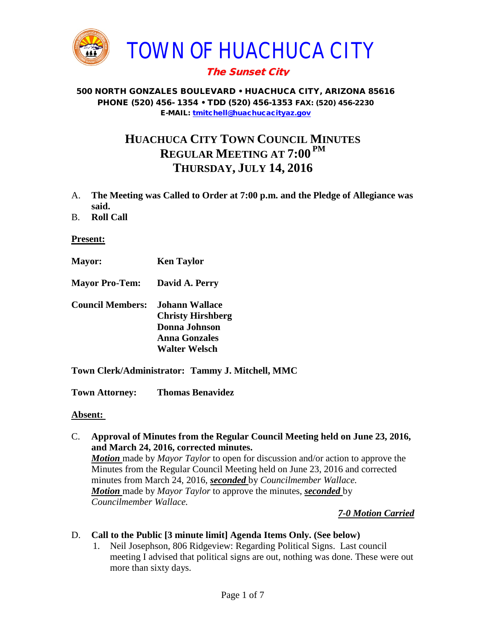

# The Sunset City

#### 500 NORTH GONZALES BOULEVARD • HUACHUCA CITY, ARIZONA 85616 PHONE (520) 456- 1354 • TDD (520) 456-1353 FAX: (520) 456-2230 E-MAIL: [tmitchell@huachucacityaz.gov](mailto:tmitchell@huachucacityaz.gov)

# **HUACHUCA CITY TOWN COUNCIL MINUTES REGULAR MEETING AT 7:00 PM THURSDAY, JULY 14, 2016**

- A. **The Meeting was Called to Order at 7:00 p.m. and the Pledge of Allegiance was said.**
- B. **Roll Call**

#### **Present:**

- **Mayor: Ken Taylor**
- **Mayor Pro-Tem: David A. Perry**
- **Council Members: Johann Wallace Christy Hirshberg Donna Johnson Anna Gonzales Walter Welsch**
- **Town Clerk/Administrator: Tammy J. Mitchell, MMC**

**Town Attorney: Thomas Benavidez**

#### **Absent:**

C. **Approval of Minutes from the Regular Council Meeting held on June 23, 2016, and March 24, 2016, corrected minutes.**

*Motion* made by *Mayor Taylor* to open for discussion and/or action to approve the Minutes from the Regular Council Meeting held on June 23, 2016 and corrected minutes from March 24, 2016, *seconded* by *Councilmember Wallace. Motion* made by *Mayor Taylor* to approve the minutes, *seconded* by *Councilmember Wallace.*

## *7-0 Motion Carried*

#### D. **Call to the Public [3 minute limit] Agenda Items Only. (See below)**

1. Neil Josephson, 806 Ridgeview: Regarding Political Signs. Last council meeting I advised that political signs are out, nothing was done. These were out more than sixty days.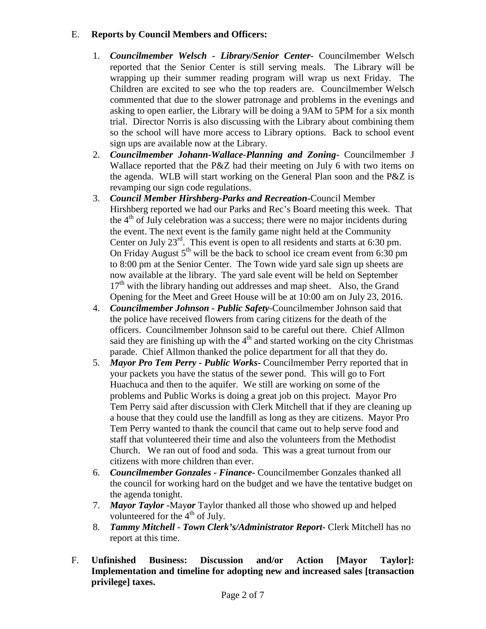## E. **Reports by Council Members and Officers:**

- 1. *Councilmember Welsch - Library/Senior Center***-** Councilmember Welsch reported that the Senior Center is still serving meals. The Library will be wrapping up their summer reading program will wrap us next Friday. The Children are excited to see who the top readers are. Councilmember Welsch commented that due to the slower patronage and problems in the evenings and asking to open earlier, the Library will be doing a 9AM to 5PM for a six month trial. Director Norris is also discussing with the Library about combining them so the school will have more access to Library options. Back to school event sign ups are available now at the Library.
- 2. *Councilmember Johann-Wallace-Planning and Zoning***-** Councilmember J Wallace reported that the P&Z had their meeting on July 6 with two items on the agenda. WLB will start working on the General Plan soon and the P&Z is revamping our sign code regulations.
- 3. *Council Member Hirshberg-Parks and Recreation***-**Council Member Hirshberg reported we had our Parks and Rec's Board meeting this week. That the  $4<sup>th</sup>$  of July celebration was a success; there were no major incidents during the event. The next event is the family game night held at the Community Center on July  $23<sup>rd</sup>$ . This event is open to all residents and starts at 6:30 pm. On Friday August  $5<sup>th</sup>$  will be the back to school ice cream event from 6:30 pm to 8:00 pm at the Senior Center. The Town wide yard sale sign up sheets are now available at the library. The yard sale event will be held on September  $17<sup>th</sup>$  with the library handing out addresses and map sheet. Also, the Grand Opening for the Meet and Greet House will be at 10:00 am on July 23, 2016.
- 4. *Councilmember Johnson - Public Safety-*Councilmember Johnson said that the police have received flowers from caring citizens for the death of the officers. Councilmember Johnson said to be careful out there. Chief Allmon said they are finishing up with the  $4<sup>th</sup>$  and started working on the city Christmas parade. Chief Allmon thanked the police department for all that they do.
- 5. *Mayor Pro Tem Perry - Public Works-* Councilmember Perry reported that in your packets you have the status of the sewer pond. This will go to Fort Huachuca and then to the aquifer. We still are working on some of the problems and Public Works is doing a great job on this project. Mayor Pro Tem Perry said after discussion with Clerk Mitchell that if they are cleaning up a house that they could use the landfill as long as they are citizens. Mayor Pro Tem Perry wanted to thank the council that came out to help serve food and staff that volunteered their time and also the volunteers from the Methodist Church. We ran out of food and soda. This was a great turnout from our citizens with more children than ever.
- 6. *Councilmember Gonzales - Finance-* Councilmember Gonzales thanked all the council for working hard on the budget and we have the tentative budget on the agenda tonight.
- 7. *Mayor Taylor -*May*or* Taylor thanked all those who showed up and helped volunteered for the  $4<sup>th</sup>$  of July.
- 8. *Tammy Mitchell - Town Clerk's/Administrator Report-* Clerk Mitchell has no report at this time.
- F. **Unfinished Business: Discussion and/or Action [Mayor Taylor]: Implementation and timeline for adopting new and increased sales [transaction privilege] taxes.**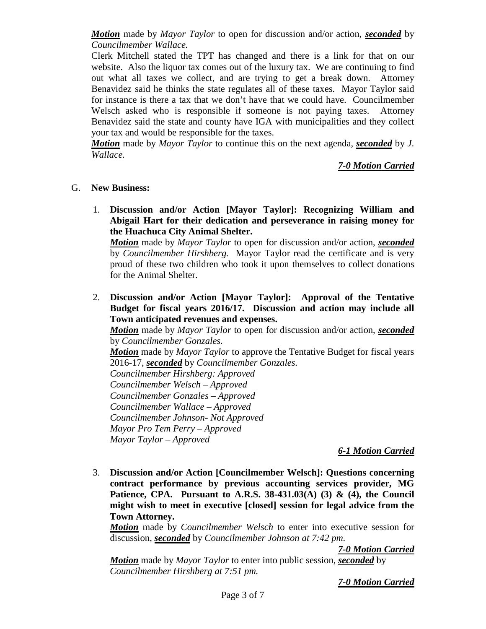*Motion* made by *Mayor Taylor* to open for discussion and/or action, *seconded* by *Councilmember Wallace.* 

Clerk Mitchell stated the TPT has changed and there is a link for that on our website. Also the liquor tax comes out of the luxury tax. We are continuing to find out what all taxes we collect, and are trying to get a break down. Attorney Benavidez said he thinks the state regulates all of these taxes. Mayor Taylor said for instance is there a tax that we don't have that we could have. Councilmember Welsch asked who is responsible if someone is not paying taxes. Attorney Benavidez said the state and county have IGA with municipalities and they collect your tax and would be responsible for the taxes.

*Motion* made by *Mayor Taylor* to continue this on the next agenda, *seconded* by *J*. *Wallace.*

*7-0 Motion Carried*

#### G. **New Business:**

1. **Discussion and/or Action [Mayor Taylor]: Recognizing William and Abigail Hart for their dedication and perseverance in raising money for the Huachuca City Animal Shelter.** 

*Motion* made by *Mayor Taylor* to open for discussion and/or action, *seconded* by *Councilmember Hirshberg.* Mayor Taylor read the certificate and is very proud of these two children who took it upon themselves to collect donations for the Animal Shelter.

2. **Discussion and/or Action [Mayor Taylor]: Approval of the Tentative Budget for fiscal years 2016/17. Discussion and action may include all Town anticipated revenues and expenses.**

*Motion* made by *Mayor Taylor* to open for discussion and/or action, *seconded* by *Councilmember Gonzales.*

*Motion* made by *Mayor Taylor* to approve the Tentative Budget for fiscal years 2016-17, *seconded* by *Councilmember Gonzales.*

*Councilmember Hirshberg: Approved*

*Councilmember Welsch – Approved*

*Councilmember Gonzales – Approved*

*Councilmember Wallace – Approved*

*Councilmember Johnson- Not Approved*

*Mayor Pro Tem Perry – Approved*

*Mayor Taylor – Approved*

# *6-1 Motion Carried*

3. **Discussion and/or Action [Councilmember Welsch]: Questions concerning contract performance by previous accounting services provider, MG Patience, CPA. Pursuant to A.R.S. 38-431.03(A) (3) & (4), the Council might wish to meet in executive [closed] session for legal advice from the Town Attorney.**

*Motion* made by *Councilmember Welsch* to enter into executive session for discussion, *seconded* by *Councilmember Johnson at 7:42 pm.*

*7-0 Motion Carried*

*Motion* made by *Mayor Taylor* to enter into public session, *seconded* by *Councilmember Hirshberg at 7:51 pm.*

*7-0 Motion Carried*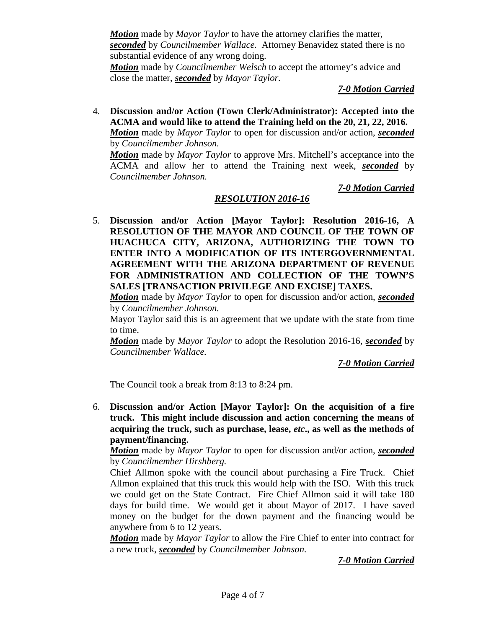*Motion* made by *Mayor Taylor* to have the attorney clarifies the matter, *seconded* by *Councilmember Wallace.* Attorney Benavidez stated there is no substantial evidence of any wrong doing.

*Motion* made by *Councilmember Welsch* to accept the attorney's advice and close the matter, *seconded* by *Mayor Taylor.*

*7-0 Motion Carried*

4. **Discussion and/or Action (Town Clerk/Administrator): Accepted into the ACMA and would like to attend the Training held on the 20, 21, 22, 2016.** *Motion* made by *Mayor Taylor* to open for discussion and/or action, *seconded* by *Councilmember Johnson.*

*Motion* made by *Mayor Taylor* to approve Mrs. Mitchell's acceptance into the ACMA and allow her to attend the Training next week, *seconded* by *Councilmember Johnson.*

*7-0 Motion Carried*

## *RESOLUTION 2016-16*

5. **Discussion and/or Action [Mayor Taylor]: Resolution 2016-16, A RESOLUTION OF THE MAYOR AND COUNCIL OF THE TOWN OF HUACHUCA CITY, ARIZONA, AUTHORIZING THE TOWN TO ENTER INTO A MODIFICATION OF ITS INTERGOVERNMENTAL AGREEMENT WITH THE ARIZONA DEPARTMENT OF REVENUE FOR ADMINISTRATION AND COLLECTION OF THE TOWN'S SALES [TRANSACTION PRIVILEGE AND EXCISE] TAXES.**

*Motion* made by *Mayor Taylor* to open for discussion and/or action, *seconded* by *Councilmember Johnson.*

Mayor Taylor said this is an agreement that we update with the state from time to time.

*Motion* made by *Mayor Taylor* to adopt the Resolution 2016-16, *seconded* by *Councilmember Wallace.*

*7-0 Motion Carried*

The Council took a break from 8:13 to 8:24 pm.

6. **Discussion and/or Action [Mayor Taylor]: On the acquisition of a fire truck. This might include discussion and action concerning the means of acquiring the truck, such as purchase, lease,** *etc***., as well as the methods of payment/financing.**

*Motion* made by *Mayor Taylor* to open for discussion and/or action, *seconded* by *Councilmember Hirshberg.*

Chief Allmon spoke with the council about purchasing a Fire Truck. Chief Allmon explained that this truck this would help with the ISO. With this truck we could get on the State Contract. Fire Chief Allmon said it will take 180 days for build time. We would get it about Mayor of 2017. I have saved money on the budget for the down payment and the financing would be anywhere from 6 to 12 years.

*Motion* made by *Mayor Taylor* to allow the Fire Chief to enter into contract for a new truck, *seconded* by *Councilmember Johnson.*

*7-0 Motion Carried*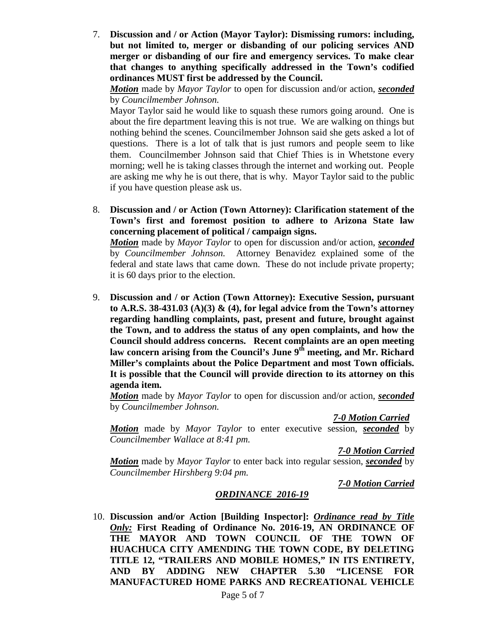7. **Discussion and / or Action (Mayor Taylor): Dismissing rumors: including, but not limited to, merger or disbanding of our policing services AND merger or disbanding of our fire and emergency services. To make clear that changes to anything specifically addressed in the Town's codified ordinances MUST first be addressed by the Council.**

*Motion* made by *Mayor Taylor* to open for discussion and/or action, *seconded* by *Councilmember Johnson.* 

Mayor Taylor said he would like to squash these rumors going around. One is about the fire department leaving this is not true. We are walking on things but nothing behind the scenes. Councilmember Johnson said she gets asked a lot of questions. There is a lot of talk that is just rumors and people seem to like them. Councilmember Johnson said that Chief Thies is in Whetstone every morning; well he is taking classes through the internet and working out. People are asking me why he is out there, that is why. Mayor Taylor said to the public if you have question please ask us.

8. **Discussion and / or Action (Town Attorney): Clarification statement of the Town's first and foremost position to adhere to Arizona State law concerning placement of political / campaign signs.**

*Motion* made by *Mayor Taylor* to open for discussion and/or action, *seconded* by *Councilmember Johnson.* Attorney Benavidez explained some of the federal and state laws that came down. These do not include private property; it is 60 days prior to the election.

9. **Discussion and / or Action (Town Attorney): Executive Session, pursuant to A.R.S. 38-431.03 (A)(3) & (4), for legal advice from the Town's attorney regarding handling complaints, past, present and future, brought against the Town, and to address the status of any open complaints, and how the Council should address concerns. Recent complaints are an open meeting**  law concern arising from the Council's June 9<sup>th</sup> meeting, and Mr. Richard **Miller's complaints about the Police Department and most Town officials. It is possible that the Council will provide direction to its attorney on this agenda item.**

*Motion* made by *Mayor Taylor* to open for discussion and/or action, *seconded* by *Councilmember Johnson.*

*7-0 Motion Carried*

*Motion* made by *Mayor Taylor* to enter executive session, *seconded* by *Councilmember Wallace at 8:41 pm.*

*7-0 Motion Carried*

*Motion* made by *Mayor Taylor* to enter back into regular session, *seconded* by *Councilmember Hirshberg 9:04 pm.*

*7-0 Motion Carried*

# *ORDINANCE 2016-19*

10. **Discussion and/or Action [Building Inspector]:** *Ordinance read by Title Only:* **First Reading of Ordinance No. 2016-19, AN ORDINANCE OF THE MAYOR AND TOWN COUNCIL OF THE TOWN OF HUACHUCA CITY AMENDING THE TOWN CODE, BY DELETING TITLE 12, "TRAILERS AND MOBILE HOMES," IN ITS ENTIRETY, AND BY ADDING NEW CHAPTER 5.30 "LICENSE FOR MANUFACTURED HOME PARKS AND RECREATIONAL VEHICLE**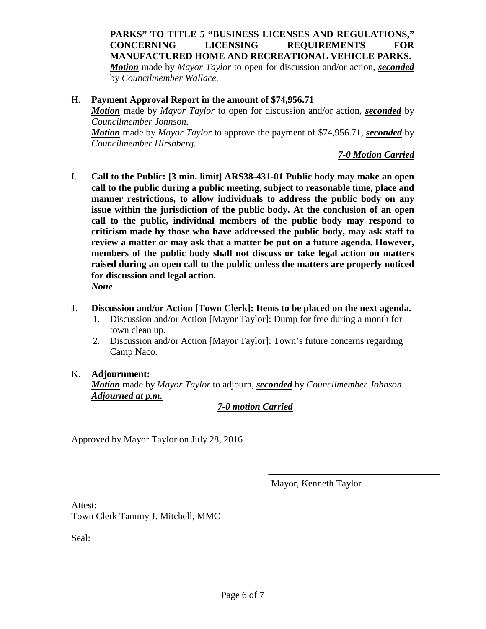**PARKS" TO TITLE 5 "BUSINESS LICENSES AND REGULATIONS," CONCERNING LICENSING REQUIREMENTS FOR MANUFACTURED HOME AND RECREATIONAL VEHICLE PARKS.** *Motion* made by *Mayor Taylor* to open for discussion and/or action, *seconded* by *Councilmember Wallace.*

#### H. **Payment Approval Report in the amount of \$74,956.71**

*Motion* made by *Mayor Taylor* to open for discussion and/or action, *seconded* by *Councilmember Johnson.*

*Motion* made by *Mayor Taylor* to approve the payment of \$74,956.71, *seconded* by *Councilmember Hirshberg.*

*7-0 Motion Carried*

- I. **Call to the Public: [3 min. limit] ARS38-431-01 Public body may make an open call to the public during a public meeting, subject to reasonable time, place and manner restrictions, to allow individuals to address the public body on any issue within the jurisdiction of the public body. At the conclusion of an open call to the public, individual members of the public body may respond to criticism made by those who have addressed the public body, may ask staff to review a matter or may ask that a matter be put on a future agenda. However, members of the public body shall not discuss or take legal action on matters raised during an open call to the public unless the matters are properly noticed for discussion and legal action.** *None*
- J. **Discussion and/or Action [Town Clerk]: Items to be placed on the next agenda.**
	- 1. Discussion and/or Action [Mayor Taylor]: Dump for free during a month for town clean up.
	- 2. Discussion and/or Action [Mayor Taylor]: Town's future concerns regarding Camp Naco.

## K. **Adjournment:**

*Motion* made by *Mayor Taylor* to adjourn, *seconded* by *Councilmember Johnson Adjourned at p.m.* 

## *7-0 motion Carried*

Approved by Mayor Taylor on July 28, 2016

Mayor, Kenneth Taylor

Attest:

Town Clerk Tammy J. Mitchell, MMC

Seal: